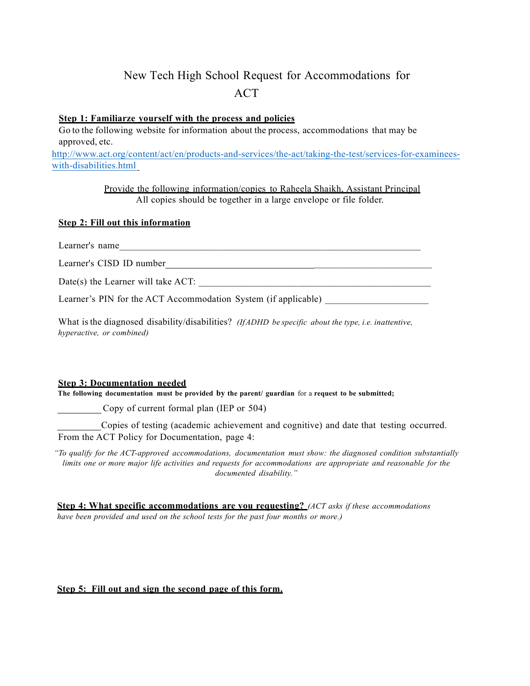# New Tech High School Request for Accommodations for ACT

## **Step 1: Familiarze yourself with the process and policies**

Go to the following website for information about the process, accommodations that may be approved, etc.

http://www.act.org/content/act/en/products-and-services/the-act/taking-the-test/services-for-examineeswith-disabilities.html

> Provide the following information/copies to Raheela Shaikh, Assistant Principal All copies should be together in a large envelope or file folder.

### **Step 2: Fill out this information**

Learner's name

Learner's CISD ID number

Date(s) the Learner will take  $ACT:$ 

Learner's PIN for the ACT Accommodation System (if applicable)

What isthe diagnosed disability/disabilities? *(IfADHD be specific about the type, i.e. inattentive, hyperactive, or combined)*

#### **Step 3: Documentation needed**

**The following documentation must be provided by the parent/ guardian** for a **request to be submitted;**

Copy of current formal plan (IEP or 504)

Copies of testing (academic achievement and cognitive) and date that testing occurred. From the ACT Policy for Documentation, page 4:

*"To qualify for the ACT-approved accommodations, documentation must show: the diagnosed condition substantially*  limits one or more major life activities and requests for accommodations are appropriate and reasonable for the *documented disability."*

**Step 4: What specific accommodations are you requesting?** *(ACT asks if these accommodations have been provided and used on the school tests for the past four months or more.)*

## **Step 5: Fill out and sign the second page of this form.**